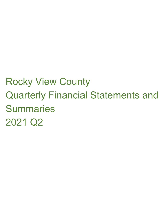# Rocky View County Quarterly Financial Statements and **Summaries** 2021 Q2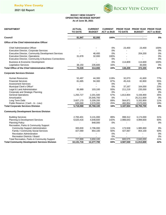

#### **ROCKY VIEW COUNTY OPERATING REVENUE REPORT As of June 30, 2021**

| <b>DEPARTMENT</b>                                         | <b>ACTUAL</b><br><b>CURRENT</b><br><b>TO DATE</b><br><b>BUDGET</b> |            | <b>CURRENT</b><br><b>ACT vs BUD</b> | <b>TO DATE</b> | PRIOR YEAR PRIOR YEAR PRIOR YEAR<br><b>BUDGET</b> | <b>ACT vs BUD</b> |  |
|-----------------------------------------------------------|--------------------------------------------------------------------|------------|-------------------------------------|----------------|---------------------------------------------------|-------------------|--|
| Council                                                   | 81,947                                                             | 82,000     | 100%                                | $\blacksquare$ |                                                   | 0%                |  |
| <b>Office of the Chief Administrative Officer</b>         |                                                                    |            |                                     |                |                                                   |                   |  |
| <b>Chief Administrative Officer</b>                       |                                                                    |            | 0%                                  | 23,400         | 23,400                                            | 100%              |  |
| Executive Director, Corporate Services                    |                                                                    |            | 0%                                  |                |                                                   | 0%                |  |
| <b>Executive Director, Community Development Services</b> |                                                                    | 46,400     | 0%                                  |                | 204,200                                           | 0%                |  |
| <b>Executive Director, Operations</b>                     | 31,878                                                             | 32,000     | 100%                                |                |                                                   | 0%                |  |
| Executive Director, Community & Business Connections      |                                                                    |            | 0%                                  |                |                                                   | 0%                |  |
| <b>Business &amp; Economic Development</b>                |                                                                    |            | 0%                                  | 114,809        | 114,600                                           | 100%              |  |
| Legislative Services                                      | 38,150                                                             | 235,600    | 16%                                 |                | 30,000                                            | 0%                |  |
| <b>Total Office of the Chief Administrative Officer</b>   | 70,028                                                             | 314,000    | 22%                                 | 138,209        | 372,200                                           | 37%               |  |
| <b>Corporate Services Division</b>                        |                                                                    |            |                                     |                |                                                   |                   |  |
| <b>Human Resources</b>                                    | 52,497                                                             | 44,300     | 119%                                | 32,073         | 41,600                                            | 77%               |  |
| <b>Financial Services</b>                                 | 81,685                                                             | 94,300     | 87%                                 | 45,416         | 82,800                                            | 55%               |  |
| <b>Assessment Services</b>                                |                                                                    |            | 0%                                  |                |                                                   | 0%                |  |
| Municipal Clerk's Office*                                 |                                                                    |            | 0%                                  | 37,167         | 164,000                                           | 23%               |  |
| Legal & Land Administration                               | 95,989                                                             | 103,100    | 93%                                 | 211,219        | 235,000                                           | 90%               |  |
| Corporate and Strategic Planning                          |                                                                    |            | 0%                                  |                |                                                   | 0%                |  |
| <b>General Operations</b>                                 | 1,250,727                                                          | 2,201,500  | 57%                                 | 1,813,904      | 5,156,900                                         | 35%               |  |
| Amortization                                              |                                                                    | 25,545,700 | 0%                                  |                | 25,211,600                                        | 0%                |  |
| Long Term Debt                                            | 3,607,170                                                          | 5,209,200  | 69%                                 | 564,871        | 5,332,800                                         | 11%               |  |
| Public Reserve (Cash - In - Lieu)                         | 630,000                                                            | 2,570,000  | 25%                                 | 482,854        | 2,570,000                                         | 19%               |  |
| <b>Total Corporate Services Division</b>                  | 5,718,068                                                          | 35,768,100 | 16%                                 | 3,187,504      | 38,794,700                                        | 8%                |  |
| <b>Community Development Services Division</b>            |                                                                    |            |                                     |                |                                                   |                   |  |
| <b>Building Services</b>                                  | 2,783,401                                                          | 3,131,000  | 89%                                 | 998,312        | 3,174,000                                         | 31%               |  |
| Planning & Development Services                           | 6,620,416                                                          | 4,648,600  | 142%                                | 2,988,643      | 4,999,600                                         | 60%               |  |
| <b>Planning Policy</b>                                    |                                                                    | 848,000    | 0%                                  |                |                                                   | 0%                |  |
| Recreation, Parks & Community Support                     |                                                                    |            |                                     |                |                                                   |                   |  |
| <b>Community Support Administration</b>                   | 300,830                                                            | 2,796,000  | 11%                                 | 173,508        | 1,985,900                                         | 9%                |  |
| Family / Community Social Services                        | 427,069                                                            | 854,100    | 50%                                 | 427,067        | 854,100                                           | 50%               |  |
| <b>Recreation Administration</b>                          |                                                                    |            | 0%                                  |                |                                                   | 0%                |  |
| Recreation Districts / Board                              |                                                                    |            | 0%                                  |                |                                                   | 0%                |  |
| Total Recreation, Parks & Community Support               | 727,899                                                            | 3,650,100  | 20%                                 | 600,575        | 2,840,000                                         | 21%               |  |
| <b>Total Community Development Services Division</b>      | 10,131,716                                                         | 12,277,700 | 83%                                 | 4,587,530      | 11,013,600                                        | 42%               |  |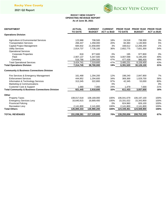## Rocky View County

## **2021 Q2 Report**



#### **ROCKY VIEW COUNTY OPERATING REVENUE REPORT As of June 30, 2021**

| <b>DEPARTMENT</b>                                          | <b>ACTUAL</b>  | <b>CURRENT</b> | <b>CURRENT</b>    |                | <b>PRIOR YEAR PRIOR YEAR</b> | <b>PRIOR YEAR</b> |
|------------------------------------------------------------|----------------|----------------|-------------------|----------------|------------------------------|-------------------|
| <b>Operations Division</b>                                 | <b>TO DATE</b> | <b>BUDGET</b>  | <b>ACT vs BUD</b> | <b>TO DATE</b> | <b>BUDGET</b>                | <b>ACT vs BUD</b> |
|                                                            |                |                |                   |                |                              |                   |
| <b>Agriculture &amp; Environmental Services</b>            | 123,988        | 708,500        | 18%               | 24,518         | 738,300                      | 3%                |
| <b>Transportation Services</b>                             | 266,447        | 1,358,000      | 20%               | 60,384         | 1,130,900                    | 5%                |
| Capital Project Management                                 | 684,832        | 21,658,800     | 3%                | 168,612        | 12,266,200                   | 1%                |
| <b>Utility Services</b>                                    | 2,814,737      | 7,735,100      | 36%               | 2,652,775      | 7,831,300                    | 34%               |
| <b>Operational Services</b>                                |                |                |                   |                |                              |                   |
| <b>Corporate Properties</b>                                | 818            | 877,600        | 0%                | 195            | 977,800                      | 0%                |
| Fleet                                                      | 2,907,137      | 5,347,500      | 54%               | 3,007,598      | 6,195,200                    | 49%               |
| Cemetery                                                   | 516,786        | 1,094,500      | 47%               | 477,438        | 986,400                      | 48%               |
| <b>Total Operational Services</b>                          | 3,424,741      | 7,319,600      | 47%               | 3,485,231      | 8,159,400                    | 43%               |
| <b>Total Operations Division</b>                           | 7,314,745      | 38,780,000     | 19%               | 6,391,520      | 30,126,100                   | 21%               |
| <b>Community &amp; Business Connections Division</b>       |                |                |                   |                |                              |                   |
| Fire Services & Emergency Management                       | 161,468        | 1,294,200      | 12%               | 198,240        | 2,847,900                    | 7%                |
| <b>Enforcement Services</b>                                | 444.952        | 1,294,600      | 34%               | 369,369        | 1,029,700                    | 36%               |
| Information & Technology Services                          | 313,345        | 322,800        | 97%               | 42,345         | 53,000                       | 80%               |
| Marketing & Communications                                 |                |                | 0%                |                |                              | 0%                |
| <b>Customer Care &amp; Support</b>                         | 1,680          | 7,000          | 24%               | 1,479          | 7,000                        | 21%               |
| <b>Total Community &amp; Business Connections Division</b> | 921,445        | 2,918,600      | 32%               | 611,433        | 3,937,600                    | 16%               |
| Other                                                      |                |                |                   |                |                              |                   |
| <b>Property Taxes</b>                                      | 108,017,618    | 108,169,000    | 100%              | 106,041,679    | 106,197,100                  | 100%              |
| <b>Emergency Services Levy</b>                             | 16,640,915     | 16,669,400     | 100%              | 15,331,022     | 15,343,900                   | 100%              |
| <b>Provincial Policing</b>                                 |                |                | 0%                | 824,960        | 826,100                      | 100%              |
| <b>Recreation Levy</b>                                     | 2,141,800      | 2,141,800      | 100%              | 2,141,800      | 2,141,800                    | 100%              |
| <b>Total Others</b>                                        | 126,800,333    | 126,980,200    | 100%              | 124,339,461    | 124,508,900                  | 100%              |
| <b>TOTAL REVENUES</b>                                      | 151,038,281    | 217,120,600    | 70%               | 139,255,656    | 208,753,100                  | 67%               |
|                                                            |                |                |                   |                |                              |                   |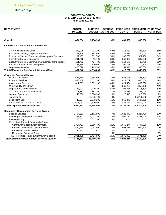

#### **OPERATING EXPENSES REPORT As of June 30, 2021 ROCKY VIEW COUNTY**

| <b>DEPARTMENT</b>                                       | <b>ACTUAL</b><br><b>TO DATE</b> | <b>CURRENT</b><br><b>BUDGET</b> | <b>CURRENT</b><br><b>ACT vs BUD</b> | <b>TO DATE</b>           | PRIOR YEAR PRIOR YEAR PRIOR YEAR<br><b>BUDGET</b> | <b>ACT vs BUD</b> |
|---------------------------------------------------------|---------------------------------|---------------------------------|-------------------------------------|--------------------------|---------------------------------------------------|-------------------|
|                                                         |                                 |                                 |                                     |                          |                                                   |                   |
| Council                                                 | 454,634                         | 1,154,300                       | 39%                                 | 431,586                  | 1,093,700                                         | 39%               |
| <b>Office of the Chief Administrative Officer</b>       |                                 |                                 |                                     |                          |                                                   |                   |
| <b>Chief Administrative Officer</b>                     | 260,028                         | 411,100                         | 63%                                 | 213,589                  | 388,100                                           | 55%               |
| Executive Director, Corporate Services                  | 198,306                         | 351,400                         | 56%                                 | 181,489                  | 439,000                                           | 41%               |
| Executive Director, Community Development Services      | 192,165                         | 331,700                         | 58%                                 | 283,706                  | 527,400                                           | 54%               |
| <b>Executive Director, Operations</b>                   | 291,816                         | 816,700                         | 36%                                 | 260,473                  | 807,600                                           | 32%               |
| Executive Director, Community & Business Connections    | 121,763                         | 427,700                         | 28%                                 | 114,572                  | 439,700                                           | 26%               |
| <b>Business &amp; Economic Development</b>              | 187,364                         | 530,800                         | 35%                                 | 209,128                  | 710,300                                           | 29%               |
| Legislative Services                                    | 406,098                         | 1,145,200                       | 35%                                 | 154,340                  | 336,000                                           | 46%               |
| <b>Total Office of the Chief Administrative Officer</b> | 1,657,540                       | 4,014,600                       | 41%                                 | 1,417,297                | 3,648,100                                         | 39%               |
| <b>Corporate Services Division</b>                      |                                 |                                 |                                     |                          |                                                   |                   |
| Human Resources                                         | 637,889                         | 1,788,800                       | 36%                                 | 586,728                  | 1,825,700                                         | 32%               |
| <b>Financial Services</b>                               | 883,159                         | 1,631,200                       | 54%                                 | 814,789                  | 1,658,600                                         | 49%               |
| <b>Assessment Services</b>                              | 611,853                         | 1,392,100                       | 44%                                 | 624,464                  | 1,433,500                                         | 44%               |
| Municipal Clerk's Office*                               | $\overline{\phantom{0}}$        |                                 | 0%                                  | 560,228                  | 1,352,100                                         | 41%               |
| Legal & Land Administration                             | 1,423,991                       | 2,479,700                       | 57%                                 | 1,204,984                | 2,115,600                                         | 57%               |
| Corporate and Strategic Planning                        | 1,332                           | 181,700                         | 1%                                  | 81,285                   | 191,000                                           | 43%               |
| <b>General Operations</b>                               | 45,280                          | 1,686,900                       | 3%                                  | 26,440                   | 1,318,200                                         | 2%                |
| Amortization                                            |                                 | 25,545,700                      | 0%                                  |                          | 25,211,600                                        | 0%                |
| Long Term Debt                                          | 743,307                         | 6,678,300                       | 11%                                 | 852,476                  | 6,697,800                                         | 13%               |
| Public Reserve (Cash - In - Lieu)                       | 608,062                         | 2,570,000                       | 24%                                 | 486,729                  | 2,570,000                                         | 19%               |
| <b>Total Corporate Services Division</b>                | 4.954.873                       | 43,954,400                      | 11%                                 | 5,238,123                | 44,374,100                                        | 12%               |
| <b>Community Development Services Division</b>          |                                 |                                 |                                     |                          |                                                   |                   |
| <b>Building Services</b>                                | 1,497,253                       | 3,161,900                       | 47%                                 | 1,625,043                | 3,227,700                                         | 50%               |
| Planning & Development Services                         | 1,788,322                       | 6,401,200                       | 28%                                 | 1,806,782                | 8,351,000                                         | 22%               |
| <b>Planning Policy</b>                                  | 258,781                         | 1,812,100                       | 14%                                 |                          |                                                   | 0%                |
| Recreation, Parks & Community Support                   |                                 |                                 |                                     |                          |                                                   |                   |
| <b>Community Support Administration</b>                 | 1,314,723                       | 6,356,400                       | 21%                                 | 1,070,274                | 5,497,000                                         | 19%               |
| Family / Community Social Services                      | 520,449                         | 1,067,600                       | 49%                                 | 506,715                  | 1,074,400                                         | 47%               |
| <b>Recreation Administration</b>                        | 46,313                          |                                 | 0%                                  |                          |                                                   | 0%                |
| Recreation Districts / Board                            |                                 |                                 | 0%                                  | $\overline{\phantom{a}}$ |                                                   | 0%                |
| Total Recreation, Parks & Community Support             | 1,881,485                       | 7,424,000                       | 25%                                 | 1,576,989                | 6,571,400                                         | 24%               |
| <b>Total Community Development Services Division</b>    | 5,425,841                       | 18,799,200                      | 29%                                 | 5,008,814                | 18,150,100                                        | 28%               |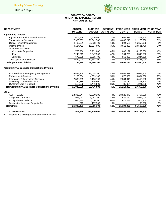

#### **ROCKY VIEW COUNTY OPERATING EXPENSES REPORT As of June 30, 2021**

| <b>DEPARTMENT</b>                                          | <b>ACTUAL</b>  | <b>CURRENT</b> | <b>CURRENT</b>    |                | PRIOR YEAR PRIOR YEAR PRIOR YEAR |                   |
|------------------------------------------------------------|----------------|----------------|-------------------|----------------|----------------------------------|-------------------|
|                                                            | <b>TO DATE</b> | <b>BUDGET</b>  | <b>ACT vs BUD</b> | <b>TO DATE</b> | <b>BUDGET</b>                    | <b>ACT vs BUD</b> |
| <b>Operations Division</b>                                 |                |                |                   |                |                                  |                   |
| Agriculture & Environmental Services                       | 619,129        | 1,676,800      | 37%               | 606,585        | 1,807,100                        | 34%               |
| <b>Transportation Services</b>                             | 7,388,963      | 21,041,500     | 35%               | 6,662,210      | 21,176,900                       | 31%               |
| Capital Project Management                                 | 4,432,361      | 25,038,700     | 18%               | 894,532        | 16,653,900                       | 5%                |
| <b>Utility Services</b>                                    | 4,124,721      | 11,314,600     | 36%               | 3,612,360      | 10,581,700                       | 34%               |
| <b>Operational Services</b>                                |                |                |                   |                |                                  |                   |
| <b>Corporate Properties</b>                                | 1,758,966      | 3,931,800      | 45%               | 1,802,192      | 4,150,600                        | 43%               |
| Fleet                                                      | 2,248,819      | 5,347,500      | 42%               | 1,964,223      | 6,345,500                        | 31%               |
| Cemetery                                                   | 672,235        | 1,515,400      | 44%               | 552,029        | 1,844,900                        | 30%               |
| <b>Total Operational Services</b>                          | 4.680.020      | 10,794,700     | 43%               | 4,318,444      | 12,341,000                       | 35%               |
| <b>Total Operations Division</b>                           | 21,245,194     | 69,866,300     | 30%               | 16,094,131     | 62,560,600                       | 26%               |
| <b>Community &amp; Business Connections Division</b>       |                |                |                   |                |                                  |                   |
| Fire Services & Emergency Management                       | 6,539,848      | 15,008,200     | 44%               | 6,969,918      | 16,069,400                       | 43%               |
| <b>Enforcement Services</b>                                | 2,153,664      | 4,079,100      | 53%               | 1,078,866      | 3,804,000                        | 28%               |
| Information & Technology Services                          | 2,308,959      | 5,136,700      | 45%               | 2,334,919      | 5,455,500                        | 43%               |
| Marketing & Communications                                 | 320,834        | 805,900        | 40%               | 346,130        | 808,200                          | 43%               |
| <b>Customer Care &amp; Support</b>                         | 515,320        | 1,446,600      | 36%               | 485,064        | 1,221,200                        | 40%               |
| <b>Total Community &amp; Business Connections Division</b> | 11,838,625     | 26,476,500     | 45%               | 11,214,897     | 27,358,300                       | 41%               |
| Other                                                      |                |                |                   |                |                                  |                   |
| <b>ASFF - BASIC</b>                                        | 23,380,044     | 47,630,100     | 49%               | 18,829,073     | 46,767,600                       | 40%               |
| Calgary R.C.S.S.D. #1                                      | 1,996,011      | 4,067,100      | 49%               | 1,689,720      | 3,992,000                        | 42%               |
| Rocky View Foundation                                      | 1,020,185      | 1,020,200      | 100%              | 675,246        | 675,300                          | 100%              |
| Designated Industrial Property Tax                         | 213            | 137,900        | $0\%$             |                | 133,300                          | 0%                |
| <b>Total Others</b>                                        | 26,396,453     | 52,855,300     | 50%               | 21,194,039     | 51,568,200                       | 41%               |
| <b>TOTAL EXPENSES</b>                                      | 71,973,159     | 217,120,600    | 33%               | 60,598,888     | 208,753,100                      | 29%               |

**\*** balance due to reorg for the department in 2021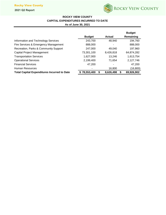## Rocky View County

**2021 Q2 Report**



# **ROCKY VIEW COUNTY**

# **CAPITAL EXPENDITURES INCURRED TO DATE**

**As of June 30, 2021**

|                                                    |                    |                | <b>Budget</b> |
|----------------------------------------------------|--------------------|----------------|---------------|
|                                                    | <b>Budget</b>      | Actual         | Remaining     |
| Information and Technology Services                | 243,700            | 48,940         | 194,760       |
| Fire Services & Emergency Management               | 888,000            | ٠              | 888,000       |
| Recreation, Parks & Community Support              | 247,000            | 49,040         | 197,960       |
| Capital Project Management                         | 73,301,100         | 8,426,818      | 64,874,282    |
| <b>Transportation Services</b>                     | 1,627,000          | 13,246         | 1,613,754     |
| <b>Operational Services</b>                        | 2,199,400          | 71,654         | 2,127,746     |
| <b>Financial Services</b>                          | 47,200             | ٠              | 47,200        |
| Human Resources                                    |                    | 16,800         | (16,800)      |
| <b>Total Capital Expenditures Incurred to Date</b> | \$78,553,400<br>\$ | 8,626,498<br>S | 69,926,902    |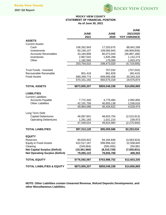

### **ROCKY VIEW COUNTY STATEMENT OF FINANCIAL POSITION As of June 30, 2021**

|                                        |                |               | <b>JUNE</b>         |
|----------------------------------------|----------------|---------------|---------------------|
|                                        | <b>JUNE</b>    | <b>JUNE</b>   | 2021/2020           |
| <b>ASSETS</b>                          | 2021           | 2020          | <b>YOY VARIANCE</b> |
| <b>Current Assets</b>                  |                |               |                     |
| Cash                                   | 106,262,943    | 17,320,675    | 88,942,268          |
| Investments                            | 60,156,107     | 109,065,943   | (48,909,836)        |
| <b>Accounts Receivables</b>            | 33,184,858     | 80,072,044    | (46, 887, 186)      |
| Inventories                            | 2,967,542      | 1,835,268     | 1,132,274           |
| Other                                  | 1,182,565      | 179,090       | 1,003,475           |
|                                        | 203,754,015    | 208,473,020   | (4,719,005)         |
|                                        |                |               |                     |
| <b>Trust Funds - Invested</b>          |                | 707,032       | (707, 032)          |
| Recoverable Receivable                 | 801,418        | 861,828       | (60, 410)           |
| <b>Fixed Assets</b>                    | 669,349,774    | 649,006,458   | 20,343,316          |
|                                        | 670,151,192    | 650,575,318   | 19,575,874          |
| <b>TOTAL ASSETS</b>                    | \$873,905,207  | \$859,048,338 | \$14,856,869        |
|                                        |                |               |                     |
| <b>LIABILITIES</b>                     |                |               |                     |
| <b>Current Liabilities</b>             |                |               |                     |
| <b>Accounts Payable</b>                | 7,772,340      | 4,779,484     | 2,992,856           |
| <b>Other Liabilities</b>               | 42,191,756     | 40,655,138    | 1,536,618           |
|                                        | 49,964,096     | 45,434,622    | 4,529,474           |
|                                        |                |               |                     |
| Long Term Debt                         |                |               |                     |
| <b>Capital Debentures</b>              | 46,087,841     | 48,603,754    | (2,515,913)         |
| <b>Operating Debentures</b>            | 1,261,183      | 1,021,210     | 239,973             |
|                                        | 47,349,024     | 49,624,964    | (2,275,940)         |
| <b>TOTAL LIABILITIES</b>               | \$97,313,120   | \$95,059,586  | \$2,253,534         |
|                                        |                |               |                     |
| <b>EQUITY</b>                          |                |               |                     |
| Reserves                               | 90,620,922     | 94,184,846    | (3,563,924)         |
| <b>Equity in Fixed Assets</b>          | 622,517,167    | 599,958,322   | 22,558,845          |
| Clearing                               | (249, 564)     | (500, 455)    | 250,891             |
| <b>Net Capital Surplus (Deficit)</b>   | (15, 361, 560) | (8,310,729)   | (7,050,831)         |
| <b>Net Operating Surplus (Deficit)</b> | 79,065,122     | 78,656,768    | 408,354             |
|                                        |                |               |                     |
| <b>TOTAL EQUITY</b>                    | \$776,592,087  | \$763,988,752 | \$12,603,335        |
| <b>TOTAL LIABILITIES &amp; EQUITY</b>  | \$873,905,207  | \$859,048,338 | \$14,856,869        |

**NOTE: Other Liabilities contain Unearned Revenue, Refund Deposits Developments, and other Miscellaneous Liabilities.**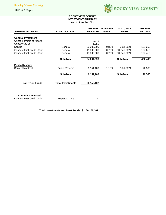

#### **ROCKY VIEW COUNTY INVESTMENT SUMMARY As of June 30 2021**

|                       | <b>AMOUNT</b>                                                                                | <b>INTEREST</b>                                                   | <b>MATURITY</b>      | <b>AMOUNT</b><br><b>RETURN</b>                |
|-----------------------|----------------------------------------------------------------------------------------------|-------------------------------------------------------------------|----------------------|-----------------------------------------------|
|                       |                                                                                              |                                                                   |                      |                                               |
|                       |                                                                                              |                                                                   |                      |                                               |
|                       |                                                                                              |                                                                   |                      |                                               |
|                       | 1,750                                                                                        |                                                                   |                      |                                               |
| General               | 30,000,000                                                                                   | 0.80%                                                             | 6-Jul-2021           | 197,260                                       |
| General               | 11,000,000                                                                                   | 0.75%                                                             | 30-Dec-2021          | 107,815                                       |
| General               | 13,000,000                                                                                   | 0.75%                                                             | 30-Dec-2021          | 127,418                                       |
|                       |                                                                                              |                                                                   |                      |                                               |
|                       |                                                                                              |                                                                   |                      | 432,493                                       |
|                       |                                                                                              |                                                                   |                      |                                               |
|                       |                                                                                              |                                                                   |                      | 72,583                                        |
|                       |                                                                                              |                                                                   |                      |                                               |
| <b>Sub-Total</b>      | 6,151,109                                                                                    |                                                                   | <b>Sub-Total</b>     | 72,583                                        |
|                       |                                                                                              |                                                                   |                      |                                               |
|                       |                                                                                              |                                                                   |                      |                                               |
|                       |                                                                                              |                                                                   |                      |                                               |
|                       |                                                                                              |                                                                   |                      |                                               |
|                       |                                                                                              |                                                                   |                      |                                               |
|                       |                                                                                              |                                                                   |                      |                                               |
| <b>Perpetual Care</b> |                                                                                              |                                                                   |                      |                                               |
|                       |                                                                                              |                                                                   |                      |                                               |
|                       | <b>BANK ACCOUNT</b><br><b>Sub-Total</b><br><b>Public Reserve</b><br><b>Total Investments</b> | <b>INVESTED</b><br>3,248<br>54,004,998<br>6,151,109<br>60,156,107 | <b>RATE</b><br>1.18% | <b>DATE</b><br><b>Sub-Total</b><br>7-Jul-2021 |

**Total Investments and Trust Funds \$ 60,156,107**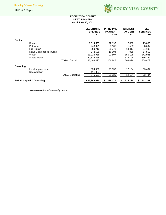

#### **ROCKY VIEW COUNTY DEBT SUMMARY As of June 30, 2021**

|           |                                      |                        | <b>DEBENTURE</b><br><b>BALANCE</b><br><b>YTD</b> | <b>PRINCIPAL</b><br><b>PAYMENT</b><br><b>YTD</b> | <b>INTEREST</b><br><b>PAYMENT</b><br>YTD | <b>DEBT</b><br><b>SERVICES</b><br><b>YTD</b> |
|-----------|--------------------------------------|------------------------|--------------------------------------------------|--------------------------------------------------|------------------------------------------|----------------------------------------------|
| Capital   |                                      |                        |                                                  |                                                  |                                          |                                              |
|           | <b>Bridges</b>                       |                        | 1,014,555                                        | 22,197                                           | 2,888                                    | 25,085                                       |
|           | Pathways                             |                        | 243,071                                          | 5,166                                            | (1,559)                                  | 3,607                                        |
|           | <b>Fire Trucks</b>                   |                        | 969,710                                          | 69,773                                           | 14,417                                   | 84,190                                       |
|           | Road Maintenance Trucks              |                        | 342,688                                          | 16,904                                           | 958                                      | 17,862                                       |
|           | Water                                |                        | 13,016,935                                       | 92,807                                           | 150,128                                  | 242,935                                      |
|           | Waste Water                          |                        | 30,816,468                                       |                                                  | 336,194                                  | 336,194                                      |
|           |                                      | <b>TOTAL Capital</b>   | 46,403,427                                       | 206,847                                          | 503,026                                  | 709,873                                      |
| Operating |                                      |                        |                                                  |                                                  |                                          |                                              |
|           | Local Improvement                    |                        | 834,530                                          | 21,330                                           | 12,104                                   | 33,434                                       |
|           | Recoverable*                         |                        | 111,067                                          |                                                  |                                          |                                              |
|           |                                      | <b>TOTAL Operating</b> | 945,597                                          | 21,330                                           | 12,104                                   | 33,434                                       |
|           | <b>TOTAL Capital &amp; Operating</b> |                        | \$47,349,024                                     | 228,177<br>S                                     | 515,130<br>\$                            | 743,307<br>S                                 |

*\*recoverable from Community Groups*